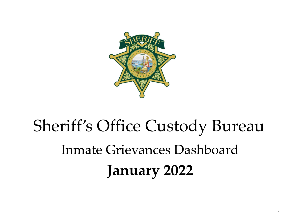

# Sheriff's Office Custody Bureau Inmate Grievances Dashboard **January 2022**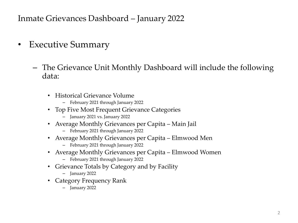- Executive Summary
	- The Grievance Unit Monthly Dashboard will include the following data:
		- Historical Grievance Volume
			- February 2021 through January 2022
		- Top Five Most Frequent Grievance Categories
			- January 2021 vs. January 2022
		- Average Monthly Grievances per Capita Main Jail
			- February 2021 through January 2022
		- Average Monthly Grievances per Capita Elmwood Men
			- February 2021 through January 2022
		- Average Monthly Grievances per Capita Elmwood Women
			- February 2021 through January 2022
		- Grievance Totals by Category and by Facility
			- January 2022
		- Category Frequency Rank
			- January 2022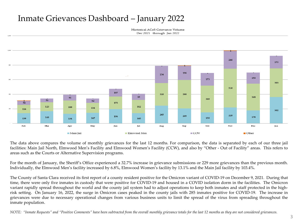Historical ACeS Grievance Volume Dec 2021 through Jan 2022



The data above compares the volume of monthly grievances for the last 12 months. For comparison, the data is separated by each of our three jail facilities: Main Jail North, Elmwood Men's Facility and Elmwood Women's Facility (CCW), and also by "Other - Out of Facility" areas. This refers to areas such as the Courts or Alternative Supervision programs.

For the month of January, the Sheriff's Office experienced a 32.7% increase in grievance submissions or 229 more grievances than the previous month. Individually, the Elmwood Men's facility increased by 6.8%, Elmwood Women's facility by 13.1% and the Main Jail facility by 103.4%.

The County of Santa Clara received its first report of a county resident positive for the Omicron variant of COVID-19 on December 9, 2021. During that time, there were only five inmates in custody that were positive for COVID-19 and housed in a COVID isolation dorm in the facilities. The Omicron variant rapidly spread throughout the world and the county jail system had to adjust operations to keep both inmates and staff protected in the highrisk setting. On January 16, 2022, the surge in Omicron cases peaked in the county jails with 285 inmates positive for COVID-19. The increase in grievances were due to necessary operational changes from various business units to limit the spread of the virus from spreading throughout the inmate population.

NOTE: "Inmate Requests" and "Positive Comments" have been subtracted from the overall monthly grievance totals for the last 12 months as they are not considered grievances.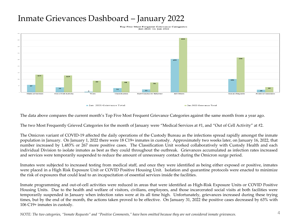Top Five Most Frequent Grievance Categories Jan 2021 vs. Jan 2022



The data above compares the current month's Top Five Most Frequent Grievance Categories against the same month from a year ago.

The two Most Frequently Grieved Categories for the month of January were "Medical Services at #1, and "Out of Cell Activity" at #2.

The Omicron variant of COVID-19 affected the daily operations of the Custody Bureau as the infections spread rapidly amongst the inmate population in January. On January 1, 2022 there were 18 C19+ inmates in custody. Approximately two weeks later, on January 16, 2022, that number increased by 1,483% or 267 more positive cases. The Classification Unit worked collaboratively with Custody Health and each individual Division to isolate inmates as best as they could throughout the outbreak. Grievances accumulated as infection rates increased and services were temporarily suspended to reduce the amount of unnecessary contact during the Omicron surge period.

Inmates were subjected to increased testing from medical staff, and once they were identified as being either exposed or positive, inmates were placed in a High Risk Exposure Unit or COVID Positive Housing Unit. Isolation and quarantine protocols were enacted to minimize the risk of exposures that could lead to an incapacitation of essential services inside the facilities.

Inmate programming and out-of-cell activities were reduced in areas that were identified as High-Risk Exposure Units or COVID Positive Housing Units. Due to the health and welfare of visitors, civilians, employees, and those incarcerated social visits at both facilities were temporarily suspended in January when infection rates were at its all time high. Unfortunately, grievances increased during these trying times, but by the end of the month, the actions taken proved to be effective. On January 31, 2022 the positive cases decreased by 63% with 106 C19+ inmates in custody.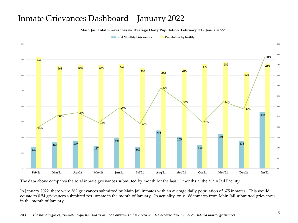Main Jail Total Grievances vs. Average Daily Population February '21 - January '22

Total Monthly Grievances Population by facility



The data above compares the total inmate grievances submitted by month for the last 12 months at the Main Jail Facility.

In January 2022, there were 362 grievances submitted by Main Jail inmates with an average daily population of 675 inmates. This would equate to 0.54 grievances submitted per inmate in the month of January. In actuality, only 186 inmates from Main Jail submitted grievances in the month of January.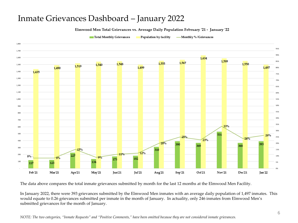Elmwood Men Total Grievances vs. Average Daily Population February '21 - January '22

Total Monthly Grievances

Population by facility -Monthly %/Grievances



The data above compares the total inmate grievances submitted by month for the last 12 months at the Elmwood Men Facility.

In January 2022, there were 393 grievances submitted by the Elmwood Men inmates with an average daily population of 1,497 inmates. This would equate to 0.26 grievances submitted per inmate in the month of January. In actuality, only 246 inmates from Elmwood Men's submitted grievances for the month of January.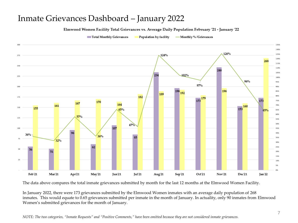Elmwood Women Facility Total Grievances vs. Average Daily Population February '21 - January '22

300 126% 124% 275 268 250 246 234 102% 225 96% 97% 200  $196$ <sub>192</sub> 196 189 182 175 179 173 173 170 167 164 161 160 150 155 65% 153 65% 57% 125 47% 107 100 96 36% 36% 85 75 32% 62 50 56 51 25  $Nov21$ Feb'21 Mar'21 Apr21 May'21 Jun'21 Jul'21 Aug'21 Sep'21 Oct'21 Dec<sup>21</sup> Jan'22

Total Monthly Grievances Population by facility -Monthly %/Grievances

The data above compares the total inmate grievances submitted by month for the last 12 months at the Elmwood Women Facility.

In January 2022, there were 173 grievances submitted by the Elmwood Women inmates with an average daily population of 268 inmates. This would equate to 0.65 grievances submitted per inmate in the month of January. In actuality, only 90 inmates from Elmwood Women's submitted grievances for the month of January.

135% 130%

125%

120%

115%

110%

105%

100%

95%

ans.

85%

80%

75%

70%

65%

**GTN** 

55%

50%

45%

40%

35%

30%

25%

znv. 15%

10% 5% O%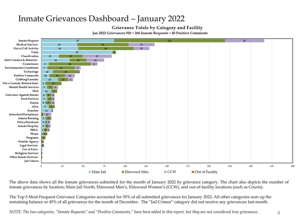#### Grievance Totals by Category and Facility

Jan 2022 Grievances 928 + 266 Inmate Requests + 40 Positive Comments



The above data shows all the inmate grievances submitted for the month of January 2022 by grievance category. The chart also depicts the number of inmate grievances by location; Main Jail North, Elmwood Men's, Elmwood Women's (CCW), and out-of-facility locations (such as Courts).

The Top 5 Most Frequent Grievance Categories accounted for 55% of all submitted grievances for January 2022. All other categories sum up the remaining balance or 45% of all grievances for the month of December. The "Jail Crimes" category did not receive any grievances last month.

*NOTE: The two categories, "Inmate Requests" and "Positive Comments," have been added to this report, but they are not considered true grievances.* 8